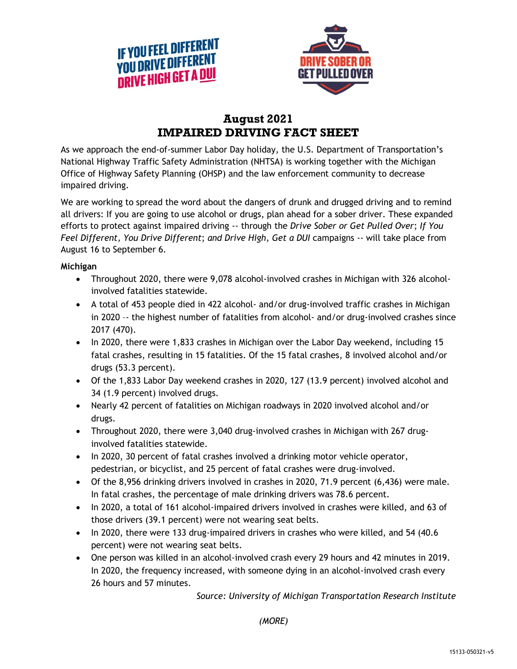



## **August 2021 IMPAIRED DRIVING FACT SHEET**

As we approach the end-of-summer Labor Day holiday, the U.S. Department of Transportation's National Highway Traffic Safety Administration (NHTSA) is working together with the Michigan Office of Highway Safety Planning (OHSP) and the law enforcement community to decrease impaired driving.

We are working to spread the word about the dangers of drunk and drugged driving and to remind all drivers: If you are going to use alcohol or drugs, plan ahead for a sober driver. These expanded efforts to protect against impaired driving -- through the *Drive Sober or Get Pulled Over*; *If You Feel Different, You Drive Different*; *and Drive High, Get a DUI* campaigns -- will take place from August 16 to September 6.

## **Michigan**

- Throughout 2020, there were 9,078 alcohol-involved crashes in Michigan with 326 alcoholinvolved fatalities statewide.
- A total of 453 people died in 422 alcohol- and/or drug-involved traffic crashes in Michigan in 2020 –- the highest number of fatalities from alcohol- and/or drug-involved crashes since 2017 (470).
- In 2020, there were 1,833 crashes in Michigan over the Labor Day weekend, including 15 fatal crashes, resulting in 15 fatalities. Of the 15 fatal crashes, 8 involved alcohol and/or drugs (53.3 percent).
- Of the 1,833 Labor Day weekend crashes in 2020, 127 (13.9 percent) involved alcohol and 34 (1.9 percent) involved drugs.
- Nearly 42 percent of fatalities on Michigan roadways in 2020 involved alcohol and/or drugs.
- Throughout 2020, there were 3,040 drug-involved crashes in Michigan with 267 druginvolved fatalities statewide.
- In 2020, 30 percent of fatal crashes involved a drinking motor vehicle operator, pedestrian, or bicyclist, and 25 percent of fatal crashes were drug-involved.
- Of the 8,956 drinking drivers involved in crashes in 2020, 71.9 percent (6,436) were male. In fatal crashes, the percentage of male drinking drivers was 78.6 percent.
- In 2020, a total of 161 alcohol-impaired drivers involved in crashes were killed, and 63 of those drivers (39.1 percent) were not wearing seat belts.
- In 2020, there were 133 drug-impaired drivers in crashes who were killed, and 54 (40.6) percent) were not wearing seat belts.
- One person was killed in an alcohol-involved crash every 29 hours and 42 minutes in 2019. In 2020, the frequency increased, with someone dying in an alcohol-involved crash every 26 hours and 57 minutes.

*Source: University of Michigan Transportation Research Institute*

*(MORE)*